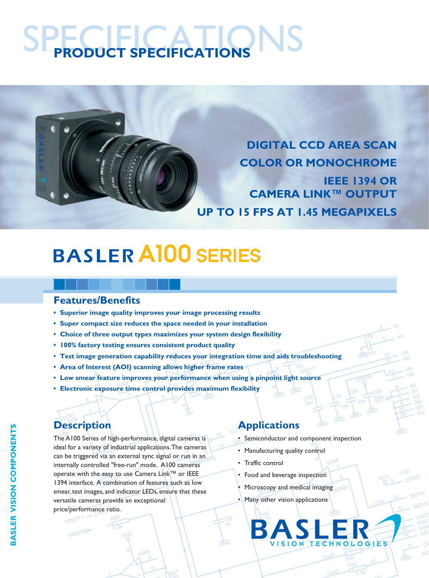# SPECIFICATIONS **PRODUCT SPECIFICATIONS**

**DIGITAL CCD AREA SCAN COLOR OR MONOCHROME IEEE 1394 OR CAMERA LINK™ OUTPUT UP TO 15 FPS AT 1.45 MEGAPIXELS**

## A100 SERIES

#### **Features/Benefits**

- **• Superior image quality improves your image processing results**
- **• Super compact size reduces the space needed in your installation**
- **• Choice of three output types maximizes your system design flexibility**
- **• 100% factory testing ensures consistent product quality**
- **• Test image generation capability reduces your integration time and aids troubleshooting**
- **• Area of Interest (AOI) scanning allows higher frame rates**
- **• Low smear feature improves your performance when using a pinpoint light source**
- **• Electronic exposure time control provides maximum flexibility**

 $VREFT = C<sup>2</sup>$ VREFTO.

The A100 Series of high-performance, digital cameras is ideal for a variety of industrial applications. The cameras can be triggered via an external sync signal or run in an internally controlled "free-run" mode. A100 cameras operate with the easy to use Camera Link™ or IEEE 1394 interface. A combination of features such as low smear, test images, and indicator LEDs, ensure that these versatile cameras provide an exceptional price/performance ratio.

### **Description Applications**

• Semiconductor and component inspection

**TECHNOLOG** 

JE'S

- Manufacturing quality control
- Traffic control
- Food and beverage inspection
- Microscopy and medical imaging
- Many other vision applications